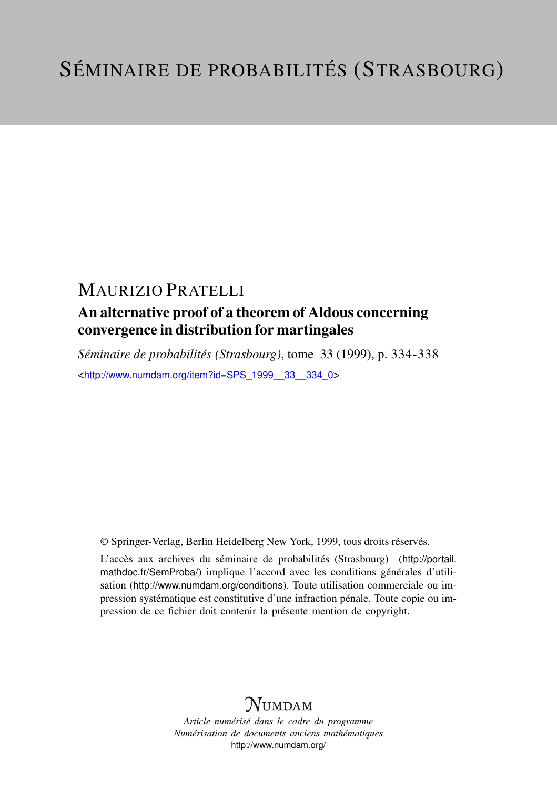## MAURIZIO PRATELLI

### An alternative proof of a theorem of Aldous concerning convergence in distribution for martingales

*Séminaire de probabilités (Strasbourg)*, tome 33 (1999), p. 334-338 <[http://www.numdam.org/item?id=SPS\\_1999\\_\\_33\\_\\_334\\_0](http://www.numdam.org/item?id=SPS_1999__33__334_0)>

© Springer-Verlag, Berlin Heidelberg New York, 1999, tous droits réservés.

L'accès aux archives du séminaire de probabilités (Strasbourg) ([http://portail.](http://portail.mathdoc.fr/SemProba/) [mathdoc.fr/SemProba/](http://portail.mathdoc.fr/SemProba/)) implique l'accord avec les conditions générales d'utilisation (<http://www.numdam.org/conditions>). Toute utilisation commerciale ou impression systématique est constitutive d'une infraction pénale. Toute copie ou impression de ce fichier doit contenir la présente mention de copyright.

# **NUMDAM**

*Article numérisé dans le cadre du programme Numérisation de documents anciens mathématiques* <http://www.numdam.org/>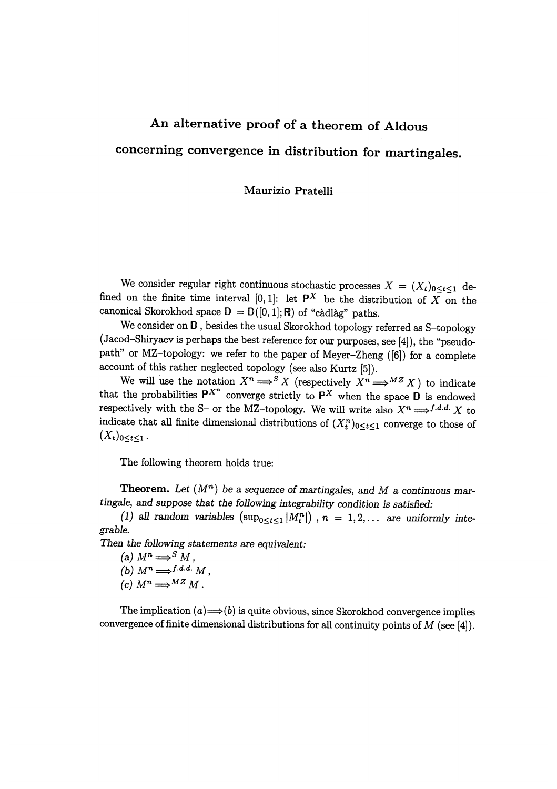# An alternative proof of a theorem of Aldous concerning convergence in distribution for martingales.

### Maurizio Pratelli

We consider regular right continuous stochastic processes  $X = (X_t)_{0 \leq t \leq 1}$  defined on the finite time interval  $[0,1]$ : let  $\mathbb{P}^X$  be the distribution of X on the canonical Skorokhod space  $\mathbf{D} = \mathbf{D}([0,1];\mathbf{R})$  of "càdlàg" paths.

We consider on  $D$ , besides the usual Skorokhod topology referred as S-topology (Jacod-Shiryaev is perhaps the best reference for our purposes, see [4]), the "pseudopath" or MZ-topology: we refer to the paper of Meyer-Zheng ([6]) for a complete account of this rather neglected topology (see also Kurtz [5]).

We will use the notation  $X^n \Longrightarrow^S X$  (respectively  $X^n \Longrightarrow^{MZ} X$ ) to indicate that the probabilities  $P^{X^n}$  converge strictly to  $P^X$  when the space D is endowed respectively with the S- or the MZ-topology. We will write also  $X^n \Longrightarrow^{f.d.d.} X$  to indicate that all finite dimensional distributions of  $(X_t^n)_{0 \leq t \leq 1}$  converge to those of  $(X_t)_{0 \leq t \leq 1}$  .

The following theorem holds true:

**Theorem.** Let  $(M^n)$  be a sequence of martingales, and M a continuous martingale, and suppose that the following integrability condition is satisfied:

(1) all random variables  $(\sup_{0 \le t \le 1} |M_t^n|)$ ,  $n = 1, 2, \ldots$  are uniformly integrable.

Then the following statements are equivalent:

(a)  $M^n \Longrightarrow^S M$ , (b)  $M^n \longrightarrow^{f.d.d.} M$ , (c)  $M^n \Longrightarrow^{MZ} M$ .

The implication  $(a) \Longrightarrow(b)$  is quite obvious, since Skorokhod convergence implies convergence of finite dimensional distributions for all continuity points of  $M$  (see [4]).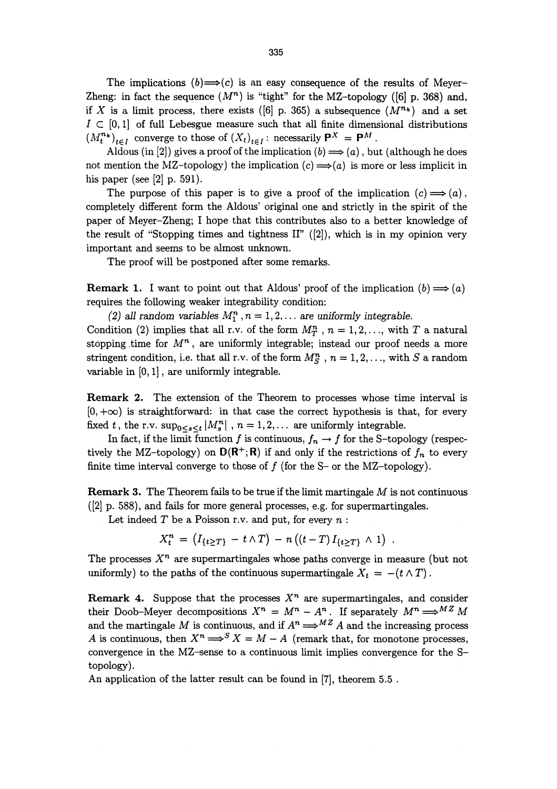The implications  $(b) \rightarrow (c)$  is an easy consequence of the results of Meyer-Zheng: in fact the sequence  $(M^n)$  is "tight" for the MZ-topology ([6] p. 368) and, if X is a limit process, there exists ([6] p. 365) a subsequence  $(M^{n_k})$  and a set  $I \subset [0,1]$  of full Lebesgue measure such that all finite dimensional distributions  $(M_t^{n_k})_{t \in I}$  converge to those of  $(X_t)_{t \in I}$ : necessarily  $\mathsf{P}^X = \mathsf{P}^M$ .

Aldous (in [2]) gives a proof of the implication (b)  $\Longrightarrow$  (a), but (although he does not mention the MZ-topology) the implication  $(c) \Longrightarrow(a)$  is more or less implicit in his paper (see [2] p. 591).

The purpose of this paper is to give a proof of the implication  $(c) \implies (a)$ . completely different form the Aldous' original one and strictly in the spirit of the paper of Nleyer-Zheng; I hope that this contributes also to a better knowledge of the result of "Stopping times and tightness II"  $([2])$ , which is in my opinion very important and seems to be almost unknown.

The proof will be postponed after some remarks.

**Remark 1.** I want to point out that Aldous' proof of the implication  $(b) \implies (a)$ requires the following weaker integrability condition:

(2) all random variables  $M_1^n$ ,  $n = 1,2,...$  are uniformly integrable. Condition (2) implies that all r.v. of the form  $M_T^n$ ,  $n = 1, 2, \ldots$ , with T a natural stopping time for  $M<sup>n</sup>$ , are uniformly integrable; instead our proof needs a more stringent condition, i.e. that all r.v. of the form  $M_S^n$ ,  $n = 1, 2, \ldots$ , with S a random variable in  $[0,1]$ , are uniformly integrable.

Remark 2. The extension of the Theorem to processes whose time interval is  $[0, +\infty)$  is straightforward: in that case the correct hypothesis is that, for every fixed t, the r.v.  $\sup_{0 \le s \le t} |M_s^n|$ ,  $n = 1, 2, \ldots$  are uniformly integrable.

In fact, if the limit function f is continuous,  $f_n \to f$  for the S-topology (respectively the MZ-topology) on  $D(R^+;R)$  if and only if the restrictions of  $f_n$  to every finite time interval converge to those of  $f$  (for the S- or the MZ-topology).

**Remark 3.** The Theorem fails to be true if the limit martingale  $M$  is not continuous ([2] p. 588), and fails for more general processes, e.g. for supermartingales.

Let indeed  $T$  be a Poisson r.v. and put, for every  $n$ :

$$
X_t^n = (I_{\{t \geq T\}} - t \wedge T) - n ((t - T) I_{\{t \geq T\}} \wedge 1) .
$$

The processes  $X<sup>n</sup>$  are supermartingales whose paths converge in measure (but not uniformly) to the paths of the continuous supermartingale  $X_t = -(t \wedge T)$ .

**Remark 4.** Suppose that the processes  $X^n$  are supermartingales, and consider their Doob-Meyer decompositions  $X^n = M^n - A^n$ . If separately  $M^n \Longrightarrow^{MZ} M$ and the martingale M is continuous, and if  $A^n \Longrightarrow M^Z A$  and the increasing process A is continuous, then  $X^n \Longrightarrow^S X = M - A$  (remark that, for monotone processes, convergence in the MZ-sense to a continuous limit implies convergence for the Stopology).

An application of the latter result can be found in [7], theorem 5.5 .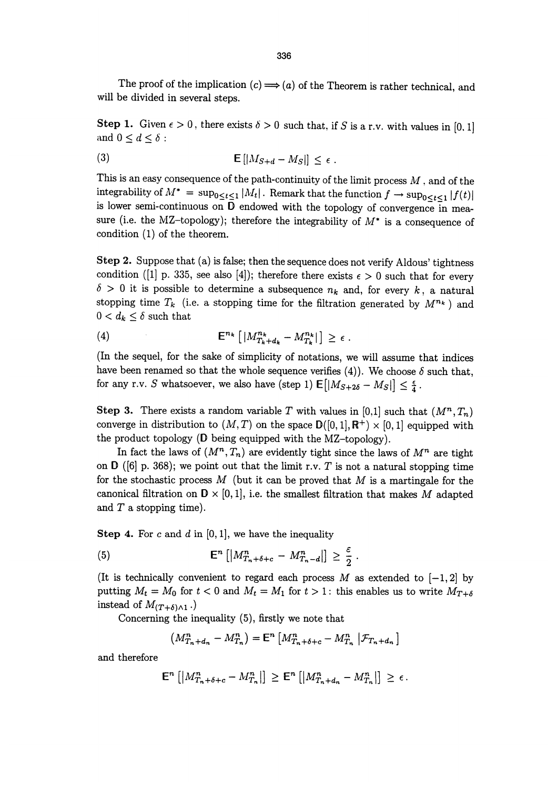The proof of the implication  $(c) \Longrightarrow (a)$  of the Theorem is rather technical, and will be divided in several steps.

**Step 1.** Given  $\epsilon > 0$ , there exists  $\delta > 0$  such that, if S is a r.v. with values in [0, 1] and  $0 \leq d \leq \delta$ :

$$
\mathsf{E}\left[\left|M_{S+d}-M_{S}\right|\right]\leq\epsilon\;.
$$

This is an easy consequence of the path-continuity of the limit process  $M$  , and of the integrability of  $M^* = \sup_{0 \le t \le 1} |M_t|$ . Remark that the function  $f \to \sup_{0 \le t \le 1} |f(t)|$ is lower semi-continuous on D endowed with the topology of convergence in measure (i.e. the MZ-topology); therefore the integrability of  $M^*$  is a consequence of condition (1) of the theorem.

Step 2. Suppose that (a) is false; then the sequence does not verify Aldous' tightness condition ([1] p. 335, see also [4]); therefore there exists  $\epsilon > 0$  such that for every  $\delta > 0$  it is possible to determine a subsequence  $n_k$  and, for every k, a natural stopping time  $T_k$  (i.e. a stopping time for the filtration generated by  $M^{n_k}$ ) and  $0 < d_k \leq \delta$  such that

$$
(4) \t\t\t\t\mathbb{E}^{n_k} \left[ |M^{n_k}_{T_k+d_k} - M^{n_k}_{T_k}| \right] \geq \epsilon \ .
$$

(In the sequel, for the sake of simplicity of notations, we will assume that indices have been renamed so that the whole sequence verifies (4)). We choose  $\delta$  such that, for any r.v. S whatsoever, we also have (step 1)  $\mathsf{E}[|M_{S+2\delta} - M_S|] \leq \frac{\epsilon}{4}$ .

Step 3. There exists a random variable T with values in [0,1] such that  $(M^n, T_n)$ converge in distribution to  $(M, T)$  on the space  $\mathbf{D}([0, 1], \mathbb{R}^+) \times [0, 1]$  equipped with the product topology (D being equipped with the MZ-topology).

In fact the laws of  $(M^n, T_n)$  are evidently tight since the laws of  $M^n$  are tight on  $D$  ([6] p. 368); we point out that the limit r.v. T is not a natural stopping time for the stochastic process  $M$  (but it can be proved that  $M$  is a martingale for the canonical filtration on  $D \times [0,1]$ , i.e. the smallest filtration that makes M adapted and T a stopping time).

**Step 4.** For c and d in  $[0,1]$ , we have the inequality

$$
\mathsf{E}^n\left[\left|M_{T_n+\delta+c}^n - M_{T_n-d}^n\right|\right] \geq \frac{\varepsilon}{2}
$$

(It is technically convenient to regard each process  $M$  as extended to  $[-1, 2]$  by putting  $M_t = M_0$  for  $t < 0$  and  $M_t = M_1$  for  $t > 1$ : this enables us to write  $M_{T+\delta}$ instead of  $M_{(T+\delta)\wedge 1}$ .)

Concerning the inequality (5), firstly we note that

$$
(M_{T_n+d_n}^n - M_{T_n}^n) = \mathsf{E}^n \left[ M_{T_n+\delta+c}^n - M_{T_n}^n \middle| \mathcal{F}_{T_n+d_n} \right]
$$

and therefore

$$
\mathsf{E}^n\left[\left|M^n_{T_n+\delta+c}-M^n_{T_n}\right|\right] \geq \mathsf{E}^n\left[\left|M^n_{T_n+d_n}-M^n_{T_n}\right|\right] \geq \epsilon.
$$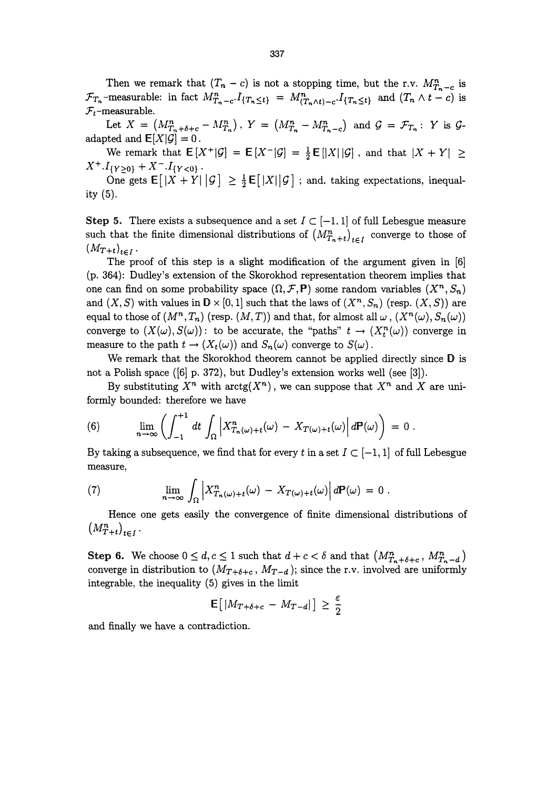Then we remark that  $(T_n - c)$  is not a stopping time, but the r.v.  $M_{T_n - c}^n$  is  $\mathcal{F}_{T_n}$ -measurable: in fact  $M_{T_n-c}^n I_{\{T_n \leq t\}} = M_{(T_n \wedge t)-c}^n I_{\{T_n \leq t\}}$  and  $(T_n \wedge t-c)$  is  $\mathcal{F}_t$ -measurable.

Let  $X = (M^n_{T_n + \delta + c} - M^n_{T_n})$ ,  $Y = (M^n_{T_n} - M^n_{T_n - c})$  and  $\mathcal{G} = \mathcal{F}_{T_n}$ : Y is  $\mathcal{G}$ adapted and  $E[X|\mathcal{G}] = 0$ .

We remark that  $E[X^+|\mathcal{G}] = E[X^-|\mathcal{G}] = \frac{1}{2}E[|X||\mathcal{G}]$ , and that  $|X + Y| \ge$  $+2$ 

One gets  $\mathsf{E}[|X + Y| \mathcal{G}] \geq \frac{1}{2} \mathsf{E}[|X| \mathcal{G}]$ ; and, taking expectations, inequality (5).

Step 5. There exists a subsequence and a set  $I \subset \{-1, 1\}$  of full Lebesgue measure such that the finite dimensional distributions of  $(M_{T_n+t}^n)_{t\in I}$  converge to those of  $(M_{T+t})_{t\in I}$ .

The proof of this step is a slight modification of the argument given in [6] (p. 364): Dudley's extension of the Skorokhod representation theorem implies that one can find on some probability space  $(\Omega, \mathcal{F}, P)$  some random variables  $(X^n, S_n)$ and  $(X, S)$  with values in  $D \times [0,1]$  such that the laws of  $(X^n, S_n)$  (resp.  $(X, S)$ ) are equal to those of  $(M^n, T_n)$  (resp.  $(M, T)$ ) and that, for almost all  $\omega$ ,  $(X^n(\omega), S_n(\omega))$ converge to  $(X(\omega), S(\omega))$ : to be accurate, the "paths"  $t \to (X_t^n(\omega))$  converge in measure to the path  $t \to (X_t(\omega))$  and  $S_n(\omega)$  converge to  $S(\omega)$ .

We remark that the Skorokhod theorem cannot be applied directly since D is not a Polish space ([6] p. 372), but Dudley's extension works well (see [3]).

By substituting  $X^n$  with  $arctg(X^n)$ , we can suppose that  $X^n$  and X are uniformly bounded: therefore we have

(6) 
$$
\lim_{n\to\infty}\left(\int_{-1}^{+1}dt\int_{\Omega}\left|X_{T_n(\omega)+t}^n(\omega)-X_{T(\omega)+t}(\omega)\right|d\mathbf{P}(\omega)\right)=0.
$$

By taking a subsequence, we find that for every t in a set  $I \subset [-1, 1]$  of full Lebesgue measure,

(7) 
$$
\lim_{n \to \infty} \int_{\Omega} \left| X_{T_n(\omega)+t}^n(\omega) - X_{T(\omega)+t}(\omega) \right| d\mathbf{P}(\omega) = 0.
$$

Hence one gets easily the convergence of finite dimensional distributions of  $\sim$ 

Step 6. We choose  $0 \leq d, c \leq 1$  such that  $d + c < \delta$  and that  $\left(M^n_{T_n+\delta+c}, M^n_{T_n-d}\right)$ converge in distribution to  $(M_{T+\delta+c}, M_{T-d})$ ; since the r.v. involved are uniformly integrable, the inequality (5) gives in the limit

$$
\mathsf{E}\big[\left|M_{T+\delta+c} - M_{T-d}\right|\big] \geq \frac{\varepsilon}{2}
$$

and finally we have a contradiction.